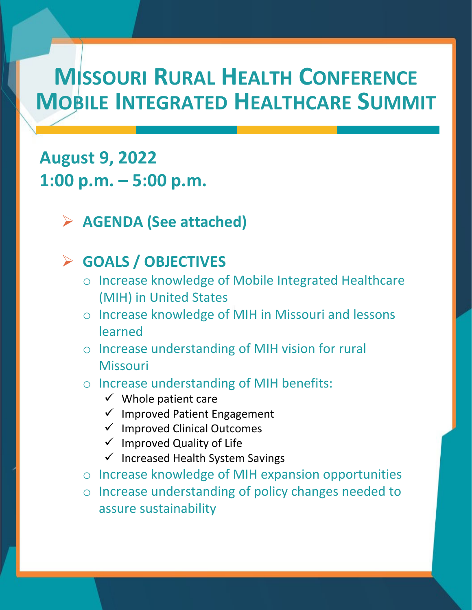## **MISSOURI RURAL HEALTH CONFERENCE MOBILE INTEGRATED HEALTHCARE SUMMIT**

### **August 9, 2022 1:00 p.m. – 5:00 p.m.**

#### **AGENDA (See attached)**

#### **GOALS / OBJECTIVES**

- o Increase knowledge of Mobile Integrated Healthcare (MIH) in United States
- o Increase knowledge of MIH in Missouri and lessons learned
- o Increase understanding of MIH vision for rural Missouri

#### o Increase understanding of MIH benefits:

- $\checkmark$  Whole patient care
- $\checkmark$  Improved Patient Engagement
- $\checkmark$  Improved Clinical Outcomes
- $\checkmark$  Improved Quality of Life
- $\checkmark$  Increased Health System Savings
- o Increase knowledge of MIH expansion opportunities
- o Increase understanding of policy changes needed to assure sustainability